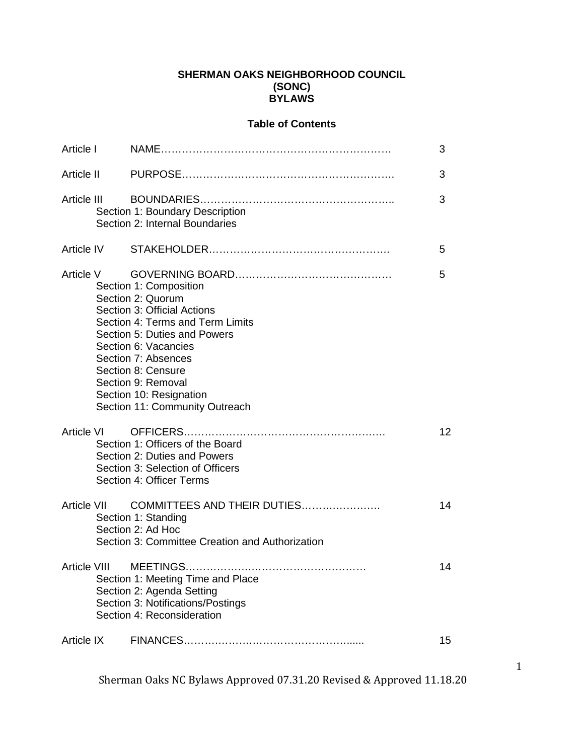### **SHERMAN OAKS NEIGHBORHOOD COUNCIL (SONC) BYLAWS**

### **Table of Contents**

| Article I         |                                                                                                                                                                                                                                                                                                        | 3               |
|-------------------|--------------------------------------------------------------------------------------------------------------------------------------------------------------------------------------------------------------------------------------------------------------------------------------------------------|-----------------|
| Article II        |                                                                                                                                                                                                                                                                                                        | 3               |
| Article III       | Section 1: Boundary Description<br>Section 2: Internal Boundaries                                                                                                                                                                                                                                      | 3               |
| Article IV        |                                                                                                                                                                                                                                                                                                        | 5               |
| Article V         | Section 1: Composition<br>Section 2: Quorum<br>Section 3: Official Actions<br>Section 4: Terms and Term Limits<br>Section 5: Duties and Powers<br>Section 6: Vacancies<br>Section 7: Absences<br>Section 8: Censure<br>Section 9: Removal<br>Section 10: Resignation<br>Section 11: Community Outreach | 5               |
| Article VI        | Section 1: Officers of the Board<br>Section 2: Duties and Powers<br>Section 3: Selection of Officers<br>Section 4: Officer Terms                                                                                                                                                                       | 12 <sup>2</sup> |
| Article VII       | COMMITTEES AND THEIR DUTIES<br>Section 1: Standing<br>Section 2: Ad Hoc<br>Section 3: Committee Creation and Authorization                                                                                                                                                                             | 14              |
|                   | Article VIII MEETINGS<br>Section 1: Meeting Time and Place<br>Section 2: Agenda Setting<br>Section 3: Notifications/Postings<br>Section 4: Reconsideration                                                                                                                                             | 14              |
| <b>Article IX</b> |                                                                                                                                                                                                                                                                                                        | 15              |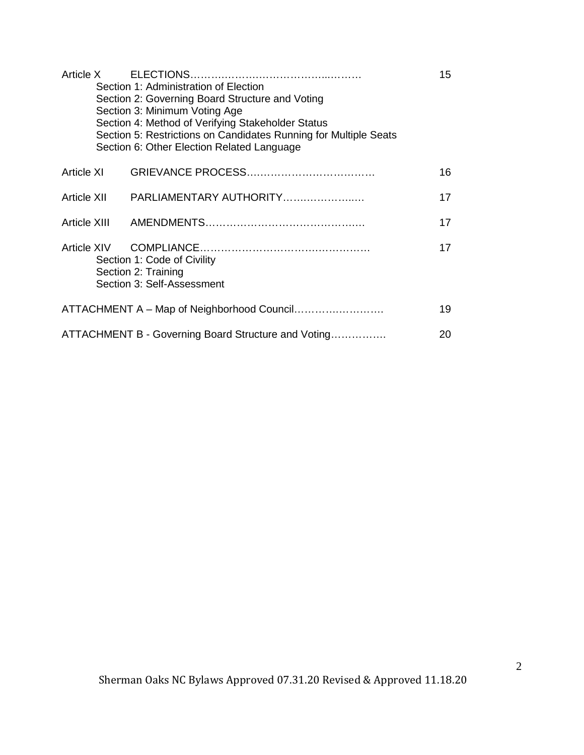| Section 1: Administration of Election<br>Section 2: Governing Board Structure and Voting<br>Section 3: Minimum Voting Age<br>Section 4: Method of Verifying Stakeholder Status<br>Section 5: Restrictions on Candidates Running for Multiple Seats | 15 |
|----------------------------------------------------------------------------------------------------------------------------------------------------------------------------------------------------------------------------------------------------|----|
| Section 6: Other Election Related Language                                                                                                                                                                                                         |    |
|                                                                                                                                                                                                                                                    | 16 |
|                                                                                                                                                                                                                                                    | 17 |
|                                                                                                                                                                                                                                                    | 17 |
| Section 1: Code of Civility<br>Section 2: Training<br>Section 3: Self-Assessment                                                                                                                                                                   | 17 |
|                                                                                                                                                                                                                                                    | 19 |
| ATTACHMENT B - Governing Board Structure and Voting                                                                                                                                                                                                | 20 |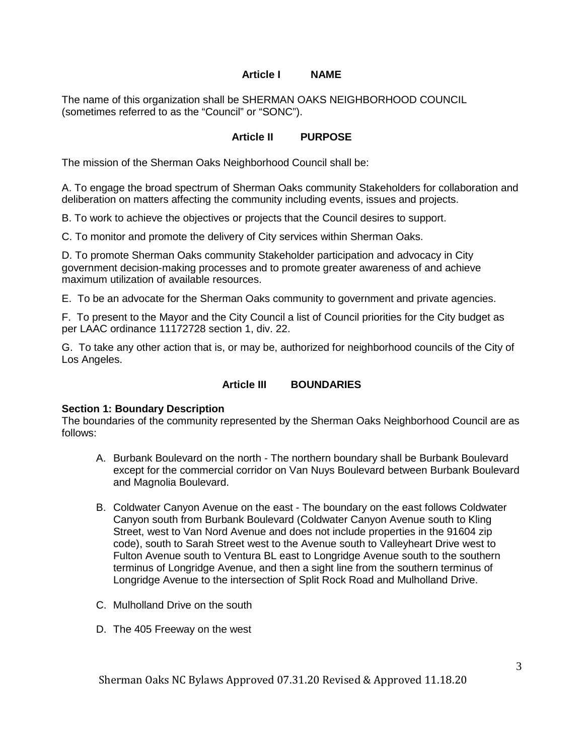### **Article I NAME**

The name of this organization shall be SHERMAN OAKS NEIGHBORHOOD COUNCIL (sometimes referred to as the "Council" or "SONC").

#### **Article II PURPOSE**

The mission of the Sherman Oaks Neighborhood Council shall be:

A. To engage the broad spectrum of Sherman Oaks community Stakeholders for collaboration and deliberation on matters affecting the community including events, issues and projects.

B. To work to achieve the objectives or projects that the Council desires to support.

C. To monitor and promote the delivery of City services within Sherman Oaks.

D. To promote Sherman Oaks community Stakeholder participation and advocacy in City government decision-making processes and to promote greater awareness of and achieve maximum utilization of available resources.

E. To be an advocate for the Sherman Oaks community to government and private agencies.

F. To present to the Mayor and the City Council a list of Council priorities for the City budget as per LAAC ordinance 11172728 section 1, div. 22.

G. To take any other action that is, or may be, authorized for neighborhood councils of the City of Los Angeles.

#### **Article III BOUNDARIES**

#### **Section 1: Boundary Description**

The boundaries of the community represented by the Sherman Oaks Neighborhood Council are as follows:

- A. Burbank Boulevard on the north The northern boundary shall be Burbank Boulevard except for the commercial corridor on Van Nuys Boulevard between Burbank Boulevard and Magnolia Boulevard.
- B. Coldwater Canyon Avenue on the east The boundary on the east follows Coldwater Canyon south from Burbank Boulevard (Coldwater Canyon Avenue south to Kling Street, west to Van Nord Avenue and does not include properties in the 91604 zip code), south to Sarah Street west to the Avenue south to Valleyheart Drive west to Fulton Avenue south to Ventura BL east to Longridge Avenue south to the southern terminus of Longridge Avenue, and then a sight line from the southern terminus of Longridge Avenue to the intersection of Split Rock Road and Mulholland Drive.
- C. Mulholland Drive on the south
- D. The 405 Freeway on the west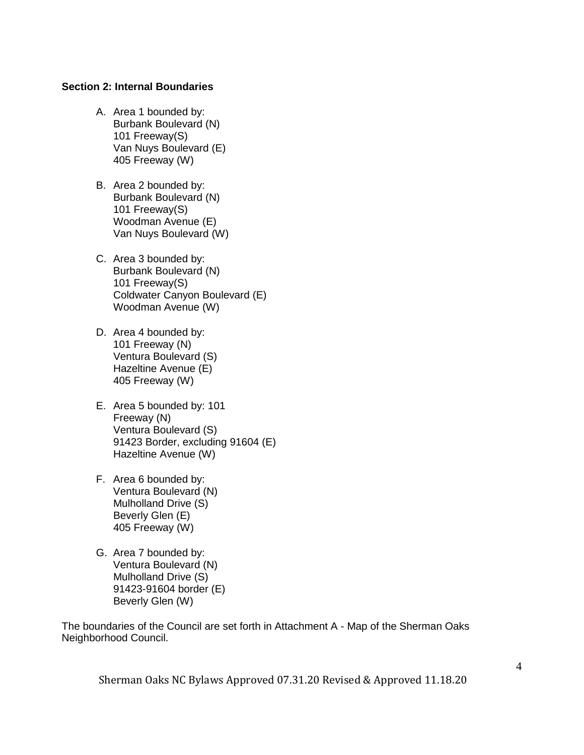#### **Section 2: Internal Boundaries**

- A. Area 1 bounded by: Burbank Boulevard (N) 101 Freeway(S) Van Nuys Boulevard (E) 405 Freeway (W)
- B. Area 2 bounded by: Burbank Boulevard (N) 101 Freeway(S) Woodman Avenue (E) Van Nuys Boulevard (W)
- C. Area 3 bounded by: Burbank Boulevard (N) 101 Freeway(S) Coldwater Canyon Boulevard (E) Woodman Avenue (W)
- D. Area 4 bounded by: 101 Freeway (N) Ventura Boulevard (S) Hazeltine Avenue (E) 405 Freeway (W)
- E. Area 5 bounded by: 101 Freeway (N) Ventura Boulevard (S) 91423 Border, excluding 91604 (E) Hazeltine Avenue (W)
- F. Area 6 bounded by: Ventura Boulevard (N) Mulholland Drive (S) Beverly Glen (E) 405 Freeway (W)
- G. Area 7 bounded by: Ventura Boulevard (N) Mulholland Drive (S) 91423-91604 border (E) Beverly Glen (W)

The boundaries of the Council are set forth in Attachment A - Map of the Sherman Oaks Neighborhood Council.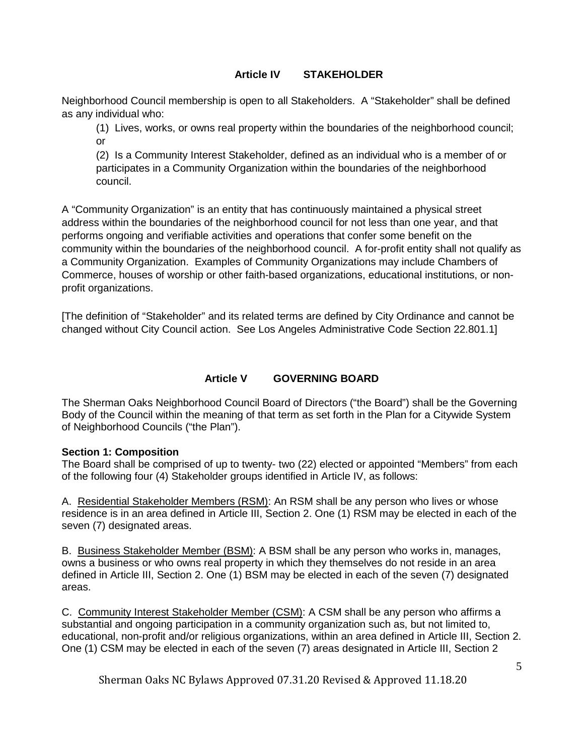# **Article IV STAKEHOLDER**

Neighborhood Council membership is open to all Stakeholders. A "Stakeholder" shall be defined as any individual who:

(1) Lives, works, or owns real property within the boundaries of the neighborhood council; or

(2) Is a Community Interest Stakeholder, defined as an individual who is a member of or participates in a Community Organization within the boundaries of the neighborhood council.

A "Community Organization" is an entity that has continuously maintained a physical street address within the boundaries of the neighborhood council for not less than one year, and that performs ongoing and verifiable activities and operations that confer some benefit on the community within the boundaries of the neighborhood council. A for-profit entity shall not qualify as a Community Organization. Examples of Community Organizations may include Chambers of Commerce, houses of worship or other faith-based organizations, educational institutions, or nonprofit organizations.

[The definition of "Stakeholder" and its related terms are defined by City Ordinance and cannot be changed without City Council action. See Los Angeles Administrative Code Section 22.801.1]

### **Article V GOVERNING BOARD**

The Sherman Oaks Neighborhood Council Board of Directors ("the Board") shall be the Governing Body of the Council within the meaning of that term as set forth in the Plan for a Citywide System of Neighborhood Councils ("the Plan").

### **Section 1: Composition**

The Board shall be comprised of up to twenty- two (22) elected or appointed "Members" from each of the following four (4) Stakeholder groups identified in Article IV, as follows:

A. Residential Stakeholder Members (RSM): An RSM shall be any person who lives or whose residence is in an area defined in Article III, Section 2. One (1) RSM may be elected in each of the seven (7) designated areas.

B. Business Stakeholder Member (BSM): A BSM shall be any person who works in, manages, owns a business or who owns real property in which they themselves do not reside in an area defined in Article III, Section 2. One (1) BSM may be elected in each of the seven (7) designated areas.

C. Community Interest Stakeholder Member (CSM): A CSM shall be any person who affirms a substantial and ongoing participation in a community organization such as, but not limited to, educational, non-profit and/or religious organizations, within an area defined in Article III, Section 2. One (1) CSM may be elected in each of the seven (7) areas designated in Article III, Section 2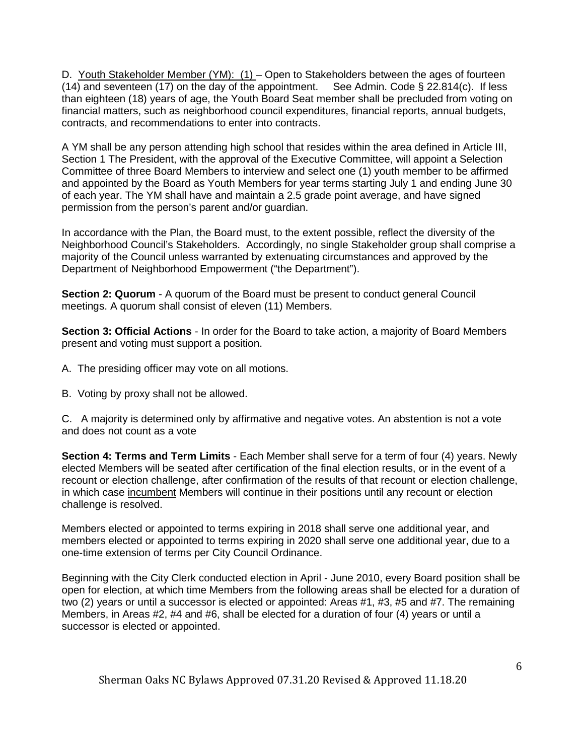D. Youth Stakeholder Member (YM): (1) - Open to Stakeholders between the ages of fourteen (14) and seventeen (17) on the day of the appointment. See Admin. Code § 22.814(c). If less than eighteen (18) years of age, the Youth Board Seat member shall be precluded from voting on financial matters, such as neighborhood council expenditures, financial reports, annual budgets, contracts, and recommendations to enter into contracts.

A YM shall be any person attending high school that resides within the area defined in Article III, Section 1 The President, with the approval of the Executive Committee, will appoint a Selection Committee of three Board Members to interview and select one (1) youth member to be affirmed and appointed by the Board as Youth Members for year terms starting July 1 and ending June 30 of each year. The YM shall have and maintain a 2.5 grade point average, and have signed permission from the person's parent and/or guardian.

In accordance with the Plan, the Board must, to the extent possible, reflect the diversity of the Neighborhood Council's Stakeholders. Accordingly, no single Stakeholder group shall comprise a majority of the Council unless warranted by extenuating circumstances and approved by the Department of Neighborhood Empowerment ("the Department").

**Section 2: Quorum** - A quorum of the Board must be present to conduct general Council meetings. A quorum shall consist of eleven (11) Members.

**Section 3: Official Actions** - In order for the Board to take action, a majority of Board Members present and voting must support a position.

- A. The presiding officer may vote on all motions.
- B. Voting by proxy shall not be allowed.

C. A majority is determined only by affirmative and negative votes. An abstention is not a vote and does not count as a vote

**Section 4: Terms and Term Limits** - Each Member shall serve for a term of four (4) years. Newly elected Members will be seated after certification of the final election results, or in the event of a recount or election challenge, after confirmation of the results of that recount or election challenge, in which case incumbent Members will continue in their positions until any recount or election challenge is resolved.

Members elected or appointed to terms expiring in 2018 shall serve one additional year, and members elected or appointed to terms expiring in 2020 shall serve one additional year, due to a one-time extension of terms per City Council Ordinance.

Beginning with the City Clerk conducted election in April - June 2010, every Board position shall be open for election, at which time Members from the following areas shall be elected for a duration of two (2) years or until a successor is elected or appointed: Areas #1, #3, #5 and #7. The remaining Members, in Areas #2, #4 and #6, shall be elected for a duration of four (4) years or until a successor is elected or appointed.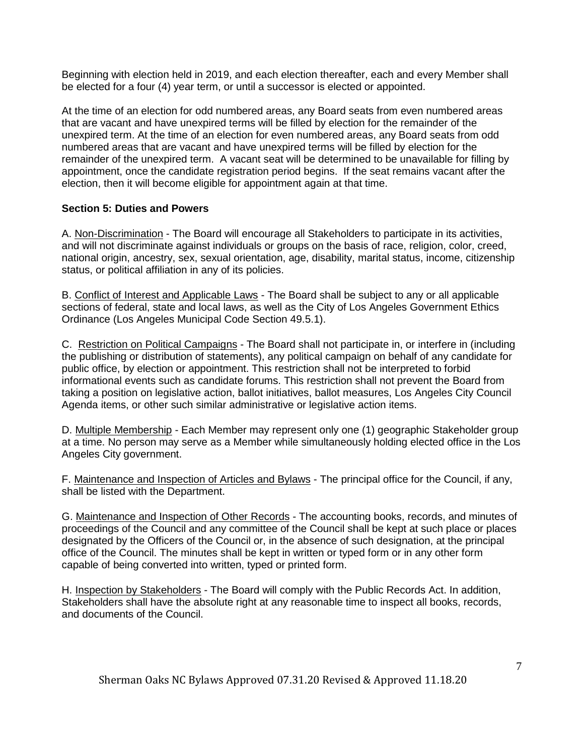Beginning with election held in 2019, and each election thereafter, each and every Member shall be elected for a four (4) year term, or until a successor is elected or appointed.

At the time of an election for odd numbered areas, any Board seats from even numbered areas that are vacant and have unexpired terms will be filled by election for the remainder of the unexpired term. At the time of an election for even numbered areas, any Board seats from odd numbered areas that are vacant and have unexpired terms will be filled by election for the remainder of the unexpired term. A vacant seat will be determined to be unavailable for filling by appointment, once the candidate registration period begins. If the seat remains vacant after the election, then it will become eligible for appointment again at that time.

# **Section 5: Duties and Powers**

A. Non-Discrimination - The Board will encourage all Stakeholders to participate in its activities, and will not discriminate against individuals or groups on the basis of race, religion, color, creed, national origin, ancestry, sex, sexual orientation, age, disability, marital status, income, citizenship status, or political affiliation in any of its policies.

B. Conflict of Interest and Applicable Laws - The Board shall be subject to any or all applicable sections of federal, state and local laws, as well as the City of Los Angeles Government Ethics Ordinance (Los Angeles Municipal Code Section 49.5.1).

C. Restriction on Political Campaigns - The Board shall not participate in, or interfere in (including the publishing or distribution of statements), any political campaign on behalf of any candidate for public office, by election or appointment. This restriction shall not be interpreted to forbid informational events such as candidate forums. This restriction shall not prevent the Board from taking a position on legislative action, ballot initiatives, ballot measures, Los Angeles City Council Agenda items, or other such similar administrative or legislative action items.

D. Multiple Membership - Each Member may represent only one (1) geographic Stakeholder group at a time. No person may serve as a Member while simultaneously holding elected office in the Los Angeles City government.

F. Maintenance and Inspection of Articles and Bylaws - The principal office for the Council, if any, shall be listed with the Department.

G. Maintenance and Inspection of Other Records - The accounting books, records, and minutes of proceedings of the Council and any committee of the Council shall be kept at such place or places designated by the Officers of the Council or, in the absence of such designation, at the principal office of the Council. The minutes shall be kept in written or typed form or in any other form capable of being converted into written, typed or printed form.

H. Inspection by Stakeholders - The Board will comply with the Public Records Act. In addition, Stakeholders shall have the absolute right at any reasonable time to inspect all books, records, and documents of the Council.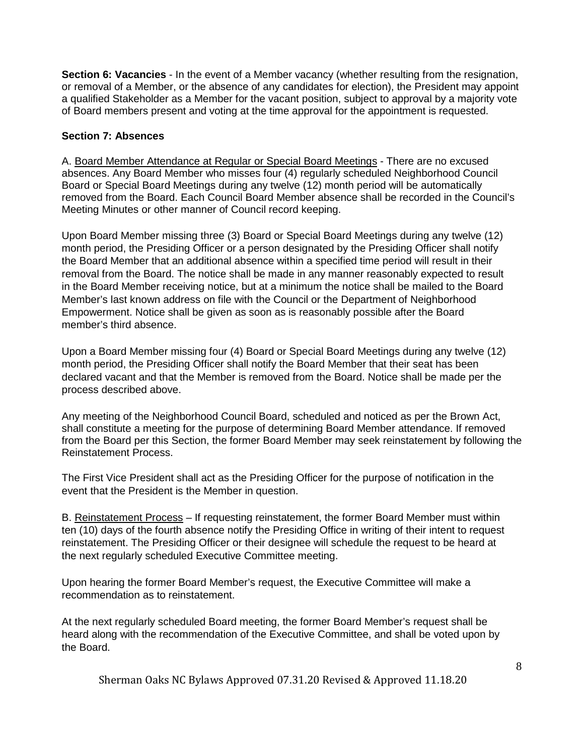**Section 6: Vacancies** - In the event of a Member vacancy (whether resulting from the resignation, or removal of a Member, or the absence of any candidates for election), the President may appoint a qualified Stakeholder as a Member for the vacant position, subject to approval by a majority vote of Board members present and voting at the time approval for the appointment is requested.

# **Section 7: Absences**

A. Board Member Attendance at Regular or Special Board Meetings - There are no excused absences. Any Board Member who misses four (4) regularly scheduled Neighborhood Council Board or Special Board Meetings during any twelve (12) month period will be automatically removed from the Board. Each Council Board Member absence shall be recorded in the Council's Meeting Minutes or other manner of Council record keeping.

Upon Board Member missing three (3) Board or Special Board Meetings during any twelve (12) month period, the Presiding Officer or a person designated by the Presiding Officer shall notify the Board Member that an additional absence within a specified time period will result in their removal from the Board. The notice shall be made in any manner reasonably expected to result in the Board Member receiving notice, but at a minimum the notice shall be mailed to the Board Member's last known address on file with the Council or the Department of Neighborhood Empowerment. Notice shall be given as soon as is reasonably possible after the Board member's third absence.

Upon a Board Member missing four (4) Board or Special Board Meetings during any twelve (12) month period, the Presiding Officer shall notify the Board Member that their seat has been declared vacant and that the Member is removed from the Board. Notice shall be made per the process described above.

Any meeting of the Neighborhood Council Board, scheduled and noticed as per the Brown Act, shall constitute a meeting for the purpose of determining Board Member attendance. If removed from the Board per this Section, the former Board Member may seek reinstatement by following the Reinstatement Process.

The First Vice President shall act as the Presiding Officer for the purpose of notification in the event that the President is the Member in question.

B. Reinstatement Process – If requesting reinstatement, the former Board Member must within ten (10) days of the fourth absence notify the Presiding Office in writing of their intent to request reinstatement. The Presiding Officer or their designee will schedule the request to be heard at the next regularly scheduled Executive Committee meeting.

Upon hearing the former Board Member's request, the Executive Committee will make a recommendation as to reinstatement.

At the next regularly scheduled Board meeting, the former Board Member's request shall be heard along with the recommendation of the Executive Committee, and shall be voted upon by the Board.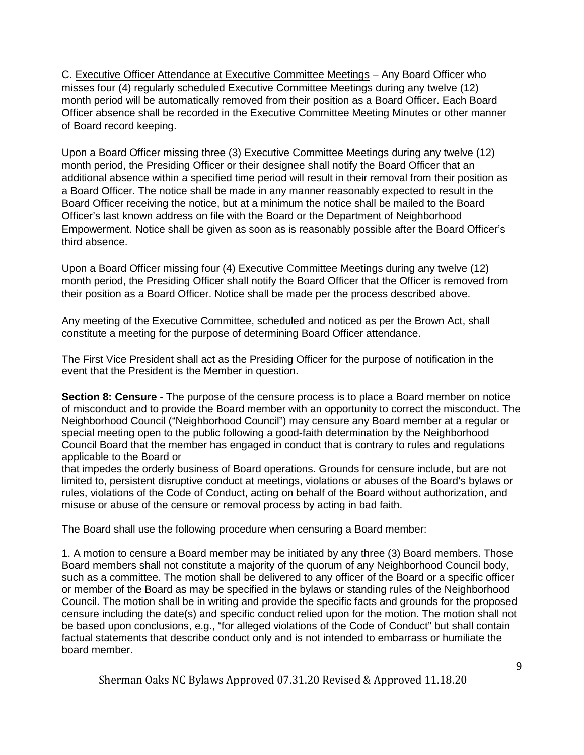C. Executive Officer Attendance at Executive Committee Meetings – Any Board Officer who misses four (4) regularly scheduled Executive Committee Meetings during any twelve (12) month period will be automatically removed from their position as a Board Officer. Each Board Officer absence shall be recorded in the Executive Committee Meeting Minutes or other manner of Board record keeping.

Upon a Board Officer missing three (3) Executive Committee Meetings during any twelve (12) month period, the Presiding Officer or their designee shall notify the Board Officer that an additional absence within a specified time period will result in their removal from their position as a Board Officer. The notice shall be made in any manner reasonably expected to result in the Board Officer receiving the notice, but at a minimum the notice shall be mailed to the Board Officer's last known address on file with the Board or the Department of Neighborhood Empowerment. Notice shall be given as soon as is reasonably possible after the Board Officer's third absence.

Upon a Board Officer missing four (4) Executive Committee Meetings during any twelve (12) month period, the Presiding Officer shall notify the Board Officer that the Officer is removed from their position as a Board Officer. Notice shall be made per the process described above.

Any meeting of the Executive Committee, scheduled and noticed as per the Brown Act, shall constitute a meeting for the purpose of determining Board Officer attendance.

The First Vice President shall act as the Presiding Officer for the purpose of notification in the event that the President is the Member in question.

**Section 8: Censure** - The purpose of the censure process is to place a Board member on notice of misconduct and to provide the Board member with an opportunity to correct the misconduct. The Neighborhood Council ("Neighborhood Council") may censure any Board member at a regular or special meeting open to the public following a good-faith determination by the Neighborhood Council Board that the member has engaged in conduct that is contrary to rules and regulations applicable to the Board or

that impedes the orderly business of Board operations. Grounds for censure include, but are not limited to, persistent disruptive conduct at meetings, violations or abuses of the Board's bylaws or rules, violations of the Code of Conduct, acting on behalf of the Board without authorization, and misuse or abuse of the censure or removal process by acting in bad faith.

The Board shall use the following procedure when censuring a Board member:

1. A motion to censure a Board member may be initiated by any three (3) Board members. Those Board members shall not constitute a majority of the quorum of any Neighborhood Council body, such as a committee. The motion shall be delivered to any officer of the Board or a specific officer or member of the Board as may be specified in the bylaws or standing rules of the Neighborhood Council. The motion shall be in writing and provide the specific facts and grounds for the proposed censure including the date(s) and specific conduct relied upon for the motion. The motion shall not be based upon conclusions, e.g., "for alleged violations of the Code of Conduct" but shall contain factual statements that describe conduct only and is not intended to embarrass or humiliate the board member.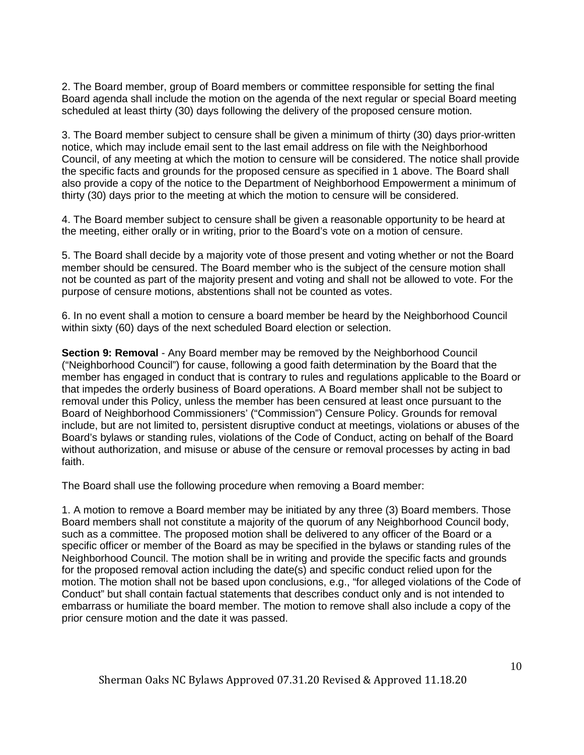2. The Board member, group of Board members or committee responsible for setting the final Board agenda shall include the motion on the agenda of the next regular or special Board meeting scheduled at least thirty (30) days following the delivery of the proposed censure motion.

3. The Board member subject to censure shall be given a minimum of thirty (30) days prior-written notice, which may include email sent to the last email address on file with the Neighborhood Council, of any meeting at which the motion to censure will be considered. The notice shall provide the specific facts and grounds for the proposed censure as specified in 1 above. The Board shall also provide a copy of the notice to the Department of Neighborhood Empowerment a minimum of thirty (30) days prior to the meeting at which the motion to censure will be considered.

4. The Board member subject to censure shall be given a reasonable opportunity to be heard at the meeting, either orally or in writing, prior to the Board's vote on a motion of censure.

5. The Board shall decide by a majority vote of those present and voting whether or not the Board member should be censured. The Board member who is the subject of the censure motion shall not be counted as part of the majority present and voting and shall not be allowed to vote. For the purpose of censure motions, abstentions shall not be counted as votes.

6. In no event shall a motion to censure a board member be heard by the Neighborhood Council within sixty (60) days of the next scheduled Board election or selection.

**Section 9: Removal** - Any Board member may be removed by the Neighborhood Council ("Neighborhood Council") for cause, following a good faith determination by the Board that the member has engaged in conduct that is contrary to rules and regulations applicable to the Board or that impedes the orderly business of Board operations. A Board member shall not be subject to removal under this Policy, unless the member has been censured at least once pursuant to the Board of Neighborhood Commissioners' ("Commission") Censure Policy. Grounds for removal include, but are not limited to, persistent disruptive conduct at meetings, violations or abuses of the Board's bylaws or standing rules, violations of the Code of Conduct, acting on behalf of the Board without authorization, and misuse or abuse of the censure or removal processes by acting in bad faith.

The Board shall use the following procedure when removing a Board member:

1. A motion to remove a Board member may be initiated by any three (3) Board members. Those Board members shall not constitute a majority of the quorum of any Neighborhood Council body, such as a committee. The proposed motion shall be delivered to any officer of the Board or a specific officer or member of the Board as may be specified in the bylaws or standing rules of the Neighborhood Council. The motion shall be in writing and provide the specific facts and grounds for the proposed removal action including the date(s) and specific conduct relied upon for the motion. The motion shall not be based upon conclusions, e.g., "for alleged violations of the Code of Conduct" but shall contain factual statements that describes conduct only and is not intended to embarrass or humiliate the board member. The motion to remove shall also include a copy of the prior censure motion and the date it was passed.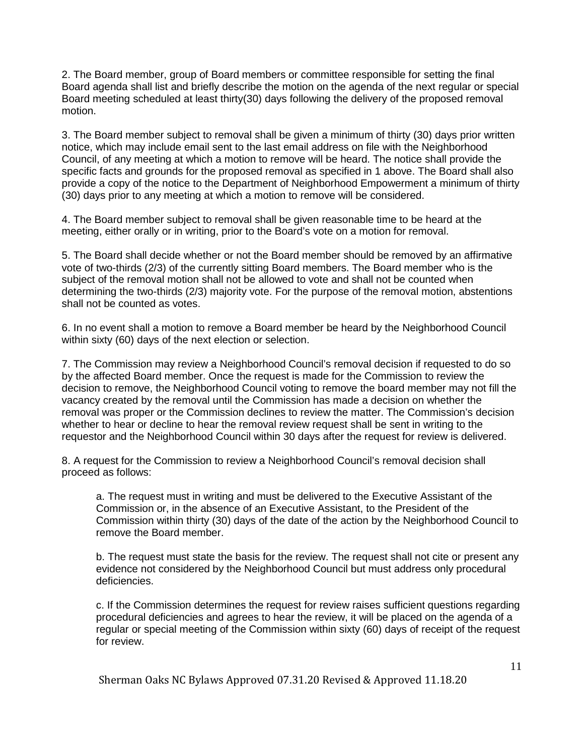2. The Board member, group of Board members or committee responsible for setting the final Board agenda shall list and briefly describe the motion on the agenda of the next regular or special Board meeting scheduled at least thirty(30) days following the delivery of the proposed removal motion.

3. The Board member subject to removal shall be given a minimum of thirty (30) days prior written notice, which may include email sent to the last email address on file with the Neighborhood Council, of any meeting at which a motion to remove will be heard. The notice shall provide the specific facts and grounds for the proposed removal as specified in 1 above. The Board shall also provide a copy of the notice to the Department of Neighborhood Empowerment a minimum of thirty (30) days prior to any meeting at which a motion to remove will be considered.

4. The Board member subject to removal shall be given reasonable time to be heard at the meeting, either orally or in writing, prior to the Board's vote on a motion for removal.

5. The Board shall decide whether or not the Board member should be removed by an affirmative vote of two-thirds (2/3) of the currently sitting Board members. The Board member who is the subject of the removal motion shall not be allowed to vote and shall not be counted when determining the two-thirds (2/3) majority vote. For the purpose of the removal motion, abstentions shall not be counted as votes.

6. In no event shall a motion to remove a Board member be heard by the Neighborhood Council within sixty (60) days of the next election or selection.

7. The Commission may review a Neighborhood Council's removal decision if requested to do so by the affected Board member. Once the request is made for the Commission to review the decision to remove, the Neighborhood Council voting to remove the board member may not fill the vacancy created by the removal until the Commission has made a decision on whether the removal was proper or the Commission declines to review the matter. The Commission's decision whether to hear or decline to hear the removal review request shall be sent in writing to the requestor and the Neighborhood Council within 30 days after the request for review is delivered.

8. A request for the Commission to review a Neighborhood Council's removal decision shall proceed as follows:

a. The request must in writing and must be delivered to the Executive Assistant of the Commission or, in the absence of an Executive Assistant, to the President of the Commission within thirty (30) days of the date of the action by the Neighborhood Council to remove the Board member.

b. The request must state the basis for the review. The request shall not cite or present any evidence not considered by the Neighborhood Council but must address only procedural deficiencies.

c. If the Commission determines the request for review raises sufficient questions regarding procedural deficiencies and agrees to hear the review, it will be placed on the agenda of a regular or special meeting of the Commission within sixty (60) days of receipt of the request for review.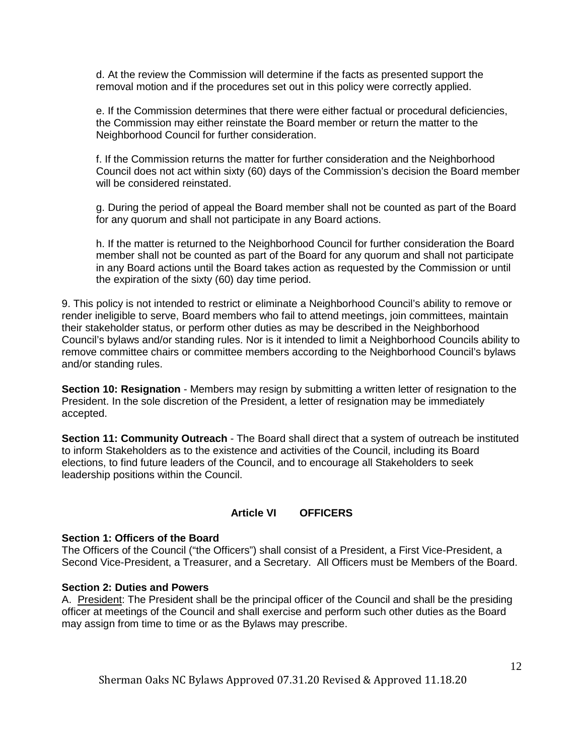d. At the review the Commission will determine if the facts as presented support the removal motion and if the procedures set out in this policy were correctly applied.

e. If the Commission determines that there were either factual or procedural deficiencies, the Commission may either reinstate the Board member or return the matter to the Neighborhood Council for further consideration.

f. If the Commission returns the matter for further consideration and the Neighborhood Council does not act within sixty (60) days of the Commission's decision the Board member will be considered reinstated.

g. During the period of appeal the Board member shall not be counted as part of the Board for any quorum and shall not participate in any Board actions.

h. If the matter is returned to the Neighborhood Council for further consideration the Board member shall not be counted as part of the Board for any quorum and shall not participate in any Board actions until the Board takes action as requested by the Commission or until the expiration of the sixty (60) day time period.

9. This policy is not intended to restrict or eliminate a Neighborhood Council's ability to remove or render ineligible to serve, Board members who fail to attend meetings, join committees, maintain their stakeholder status, or perform other duties as may be described in the Neighborhood Council's bylaws and/or standing rules. Nor is it intended to limit a Neighborhood Councils ability to remove committee chairs or committee members according to the Neighborhood Council's bylaws and/or standing rules.

**Section 10: Resignation** - Members may resign by submitting a written letter of resignation to the President. In the sole discretion of the President, a letter of resignation may be immediately accepted.

**Section 11: Community Outreach** - The Board shall direct that a system of outreach be instituted to inform Stakeholders as to the existence and activities of the Council, including its Board elections, to find future leaders of the Council, and to encourage all Stakeholders to seek leadership positions within the Council.

#### **Article VI OFFICERS**

#### **Section 1: Officers of the Board**

The Officers of the Council ("the Officers") shall consist of a President, a First Vice-President, a Second Vice-President, a Treasurer, and a Secretary. All Officers must be Members of the Board.

#### **Section 2: Duties and Powers**

A. President: The President shall be the principal officer of the Council and shall be the presiding officer at meetings of the Council and shall exercise and perform such other duties as the Board may assign from time to time or as the Bylaws may prescribe.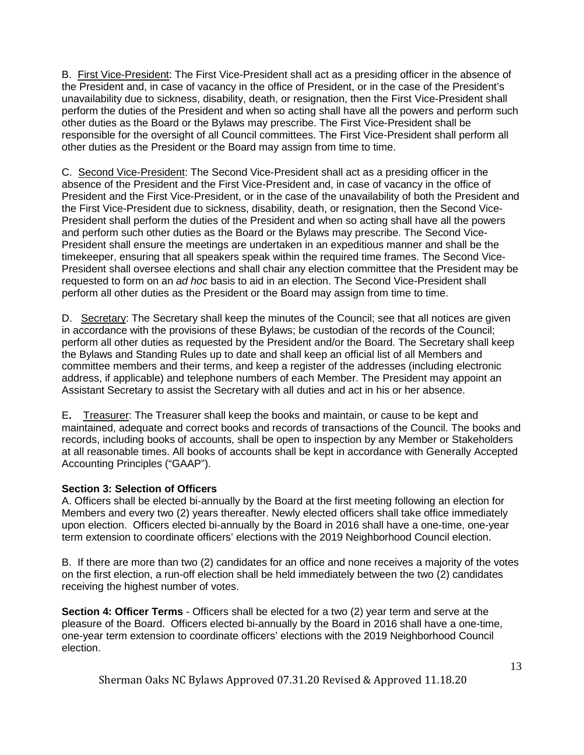B. First Vice-President: The First Vice-President shall act as a presiding officer in the absence of the President and, in case of vacancy in the office of President, or in the case of the President's unavailability due to sickness, disability, death, or resignation, then the First Vice-President shall perform the duties of the President and when so acting shall have all the powers and perform such other duties as the Board or the Bylaws may prescribe. The First Vice-President shall be responsible for the oversight of all Council committees. The First Vice-President shall perform all other duties as the President or the Board may assign from time to time.

C. Second Vice-President: The Second Vice-President shall act as a presiding officer in the absence of the President and the First Vice-President and, in case of vacancy in the office of President and the First Vice-President, or in the case of the unavailability of both the President and the First Vice-President due to sickness, disability, death, or resignation, then the Second Vice-President shall perform the duties of the President and when so acting shall have all the powers and perform such other duties as the Board or the Bylaws may prescribe. The Second Vice-President shall ensure the meetings are undertaken in an expeditious manner and shall be the timekeeper, ensuring that all speakers speak within the required time frames. The Second Vice-President shall oversee elections and shall chair any election committee that the President may be requested to form on an *ad hoc* basis to aid in an election. The Second Vice-President shall perform all other duties as the President or the Board may assign from time to time.

D. Secretary: The Secretary shall keep the minutes of the Council; see that all notices are given in accordance with the provisions of these Bylaws; be custodian of the records of the Council; perform all other duties as requested by the President and/or the Board. The Secretary shall keep the Bylaws and Standing Rules up to date and shall keep an official list of all Members and committee members and their terms, and keep a register of the addresses (including electronic address, if applicable) and telephone numbers of each Member. The President may appoint an Assistant Secretary to assist the Secretary with all duties and act in his or her absence.

E**.** Treasurer: The Treasurer shall keep the books and maintain, or cause to be kept and maintained, adequate and correct books and records of transactions of the Council. The books and records, including books of accounts, shall be open to inspection by any Member or Stakeholders at all reasonable times. All books of accounts shall be kept in accordance with Generally Accepted Accounting Principles ("GAAP").

### **Section 3: Selection of Officers**

A. Officers shall be elected bi-annually by the Board at the first meeting following an election for Members and every two (2) years thereafter. Newly elected officers shall take office immediately upon election. Officers elected bi-annually by the Board in 2016 shall have a one-time, one-year term extension to coordinate officers' elections with the 2019 Neighborhood Council election.

B. If there are more than two (2) candidates for an office and none receives a majority of the votes on the first election, a run-off election shall be held immediately between the two (2) candidates receiving the highest number of votes.

**Section 4: Officer Terms** - Officers shall be elected for a two (2) year term and serve at the pleasure of the Board. Officers elected bi-annually by the Board in 2016 shall have a one-time, one-year term extension to coordinate officers' elections with the 2019 Neighborhood Council election.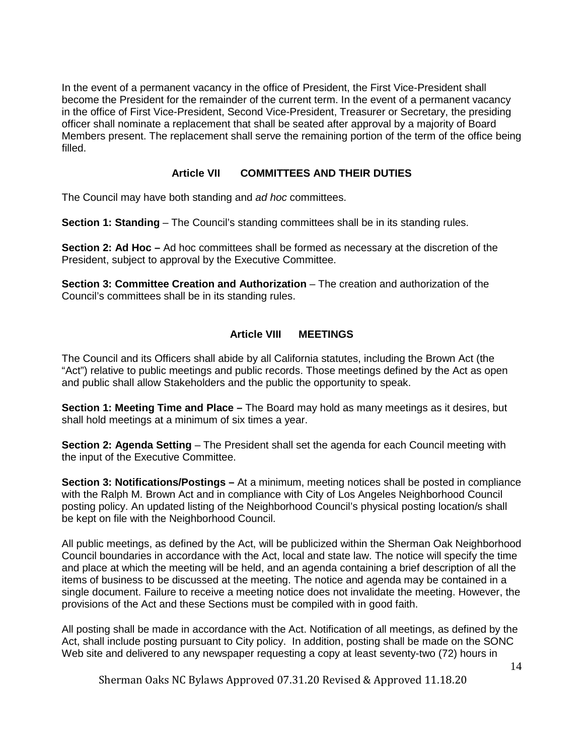In the event of a permanent vacancy in the office of President, the First Vice-President shall become the President for the remainder of the current term. In the event of a permanent vacancy in the office of First Vice-President, Second Vice-President, Treasurer or Secretary, the presiding officer shall nominate a replacement that shall be seated after approval by a majority of Board Members present. The replacement shall serve the remaining portion of the term of the office being filled.

# **Article VII COMMITTEES AND THEIR DUTIES**

The Council may have both standing and *ad hoc* committees.

**Section 1: Standing** – The Council's standing committees shall be in its standing rules.

**Section 2: Ad Hoc –** Ad hoc committees shall be formed as necessary at the discretion of the President, subject to approval by the Executive Committee.

**Section 3: Committee Creation and Authorization** – The creation and authorization of the Council's committees shall be in its standing rules.

# **Article VIII MEETINGS**

The Council and its Officers shall abide by all California statutes, including the Brown Act (the "Act") relative to public meetings and public records. Those meetings defined by the Act as open and public shall allow Stakeholders and the public the opportunity to speak.

**Section 1: Meeting Time and Place –** The Board may hold as many meetings as it desires, but shall hold meetings at a minimum of six times a year.

**Section 2: Agenda Setting** – The President shall set the agenda for each Council meeting with the input of the Executive Committee.

**Section 3: Notifications/Postings –** At a minimum, meeting notices shall be posted in compliance with the Ralph M. Brown Act and in compliance with City of Los Angeles Neighborhood Council posting policy. An updated listing of the Neighborhood Council's physical posting location/s shall be kept on file with the Neighborhood Council.

All public meetings, as defined by the Act, will be publicized within the Sherman Oak Neighborhood Council boundaries in accordance with the Act, local and state law. The notice will specify the time and place at which the meeting will be held, and an agenda containing a brief description of all the items of business to be discussed at the meeting. The notice and agenda may be contained in a single document. Failure to receive a meeting notice does not invalidate the meeting. However, the provisions of the Act and these Sections must be compiled with in good faith.

All posting shall be made in accordance with the Act. Notification of all meetings, as defined by the Act, shall include posting pursuant to City policy. In addition, posting shall be made on the SONC Web site and delivered to any newspaper requesting a copy at least seventy-two (72) hours in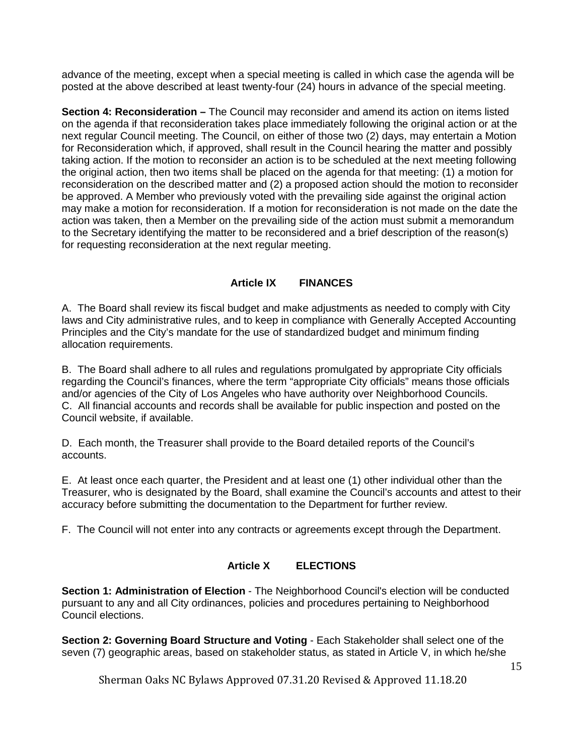advance of the meeting, except when a special meeting is called in which case the agenda will be posted at the above described at least twenty-four (24) hours in advance of the special meeting.

**Section 4: Reconsideration –** The Council may reconsider and amend its action on items listed on the agenda if that reconsideration takes place immediately following the original action or at the next regular Council meeting. The Council, on either of those two (2) days, may entertain a Motion for Reconsideration which, if approved, shall result in the Council hearing the matter and possibly taking action. If the motion to reconsider an action is to be scheduled at the next meeting following the original action, then two items shall be placed on the agenda for that meeting: (1) a motion for reconsideration on the described matter and (2) a proposed action should the motion to reconsider be approved. A Member who previously voted with the prevailing side against the original action may make a motion for reconsideration. If a motion for reconsideration is not made on the date the action was taken, then a Member on the prevailing side of the action must submit a memorandum to the Secretary identifying the matter to be reconsidered and a brief description of the reason(s) for requesting reconsideration at the next regular meeting.

# **Article IX FINANCES**

A. The Board shall review its fiscal budget and make adjustments as needed to comply with City laws and City administrative rules, and to keep in compliance with Generally Accepted Accounting Principles and the City's mandate for the use of standardized budget and minimum finding allocation requirements.

B. The Board shall adhere to all rules and regulations promulgated by appropriate City officials regarding the Council's finances, where the term "appropriate City officials" means those officials and/or agencies of the City of Los Angeles who have authority over Neighborhood Councils. C. All financial accounts and records shall be available for public inspection and posted on the Council website, if available.

D. Each month, the Treasurer shall provide to the Board detailed reports of the Council's accounts.

E. At least once each quarter, the President and at least one (1) other individual other than the Treasurer, who is designated by the Board, shall examine the Council's accounts and attest to their accuracy before submitting the documentation to the Department for further review.

F. The Council will not enter into any contracts or agreements except through the Department.

### **Article X ELECTIONS**

**Section 1: Administration of Election** - The Neighborhood Council's election will be conducted pursuant to any and all City ordinances, policies and procedures pertaining to Neighborhood Council elections.

**Section 2: Governing Board Structure and Voting - Each Stakeholder shall select one of the** seven (7) geographic areas, based on stakeholder status, as stated in Article V, in which he/she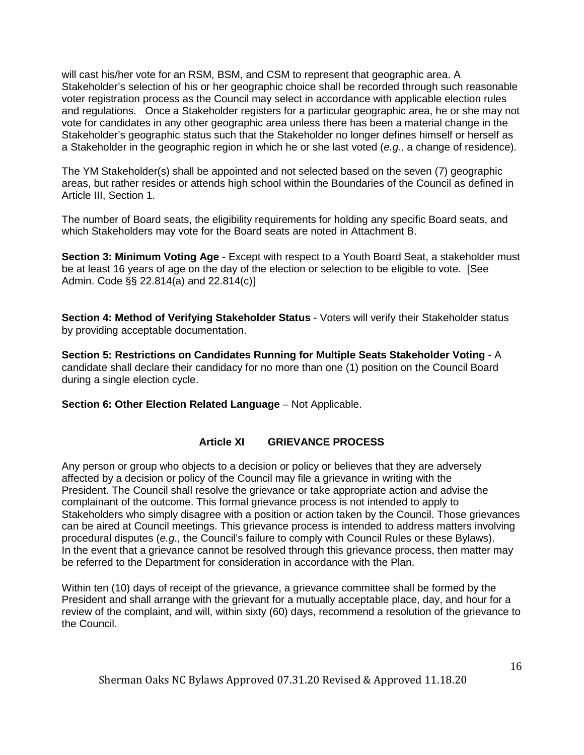will cast his/her vote for an RSM, BSM, and CSM to represent that geographic area. A Stakeholder's selection of his or her geographic choice shall be recorded through such reasonable voter registration process as the Council may select in accordance with applicable election rules and regulations. Once a Stakeholder registers for a particular geographic area, he or she may not vote for candidates in any other geographic area unless there has been a material change in the Stakeholder's geographic status such that the Stakeholder no longer defines himself or herself as a Stakeholder in the geographic region in which he or she last voted (*e.g.,* a change of residence).

The YM Stakeholder(s) shall be appointed and not selected based on the seven (7) geographic areas, but rather resides or attends high school within the Boundaries of the Council as defined in Article III, Section 1.

The number of Board seats, the eligibility requirements for holding any specific Board seats, and which Stakeholders may vote for the Board seats are noted in Attachment B.

**Section 3: Minimum Voting Age** - Except with respect to a Youth Board Seat, a stakeholder must be at least 16 years of age on the day of the election or selection to be eligible to vote. [See Admin. Code §§ 22.814(a) and 22.814(c)]

**Section 4: Method of Verifying Stakeholder Status** - Voters will verify their Stakeholder status by providing acceptable documentation.

**Section 5: Restrictions on Candidates Running for Multiple Seats Stakeholder Voting** - A candidate shall declare their candidacy for no more than one (1) position on the Council Board during a single election cycle.

**Section 6: Other Election Related Language** – Not Applicable.

# **Article XI GRIEVANCE PROCESS**

Any person or group who objects to a decision or policy or believes that they are adversely affected by a decision or policy of the Council may file a grievance in writing with the President. The Council shall resolve the grievance or take appropriate action and advise the complainant of the outcome. This formal grievance process is not intended to apply to Stakeholders who simply disagree with a position or action taken by the Council. Those grievances can be aired at Council meetings. This grievance process is intended to address matters involving procedural disputes (*e.g*., the Council's failure to comply with Council Rules or these Bylaws). In the event that a grievance cannot be resolved through this grievance process, then matter may be referred to the Department for consideration in accordance with the Plan.

Within ten (10) days of receipt of the grievance, a grievance committee shall be formed by the President and shall arrange with the grievant for a mutually acceptable place, day, and hour for a review of the complaint, and will, within sixty (60) days, recommend a resolution of the grievance to the Council.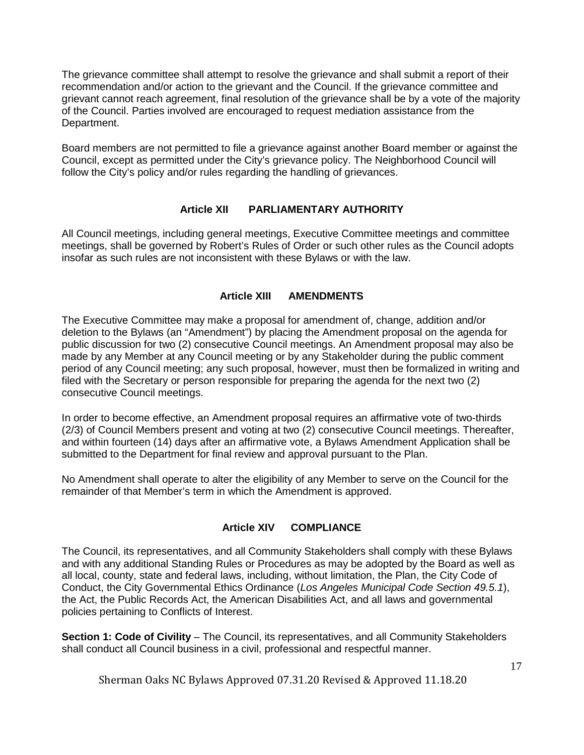The grievance committee shall attempt to resolve the grievance and shall submit a report of their recommendation and/or action to the grievant and the Council. If the grievance committee and grievant cannot reach agreement, final resolution of the grievance shall be by a vote of the majority of the Council. Parties involved are encouraged to request mediation assistance from the Department.

Board members are not permitted to file a grievance against another Board member or against the Council, except as permitted under the City's grievance policy. The Neighborhood Council will follow the City's policy and/or rules regarding the handling of grievances.

# **Article XII PARLIAMENTARY AUTHORITY**

All Council meetings, including general meetings, Executive Committee meetings and committee meetings, shall be governed by Robert's Rules of Order or such other rules as the Council adopts insofar as such rules are not inconsistent with these Bylaws or with the law.

# **Article XIII AMENDMENTS**

The Executive Committee may make a proposal for amendment of, change, addition and/or deletion to the Bylaws (an "Amendment") by placing the Amendment proposal on the agenda for public discussion for two (2) consecutive Council meetings. An Amendment proposal may also be made by any Member at any Council meeting or by any Stakeholder during the public comment period of any Council meeting; any such proposal, however, must then be formalized in writing and filed with the Secretary or person responsible for preparing the agenda for the next two (2) consecutive Council meetings.

In order to become effective, an Amendment proposal requires an affirmative vote of two-thirds (2/3) of Council Members present and voting at two (2) consecutive Council meetings. Thereafter, and within fourteen (14) days after an affirmative vote, a Bylaws Amendment Application shall be submitted to the Department for final review and approval pursuant to the Plan.

No Amendment shall operate to alter the eligibility of any Member to serve on the Council for the remainder of that Member's term in which the Amendment is approved.

### **Article XIV COMPLIANCE**

The Council, its representatives, and all Community Stakeholders shall comply with these Bylaws and with any additional Standing Rules or Procedures as may be adopted by the Board as well as all local, county, state and federal laws, including, without limitation, the Plan, the City Code of Conduct, the City Governmental Ethics Ordinance (*Los Angeles Municipal Code Section 49.5.1*), the Act, the Public Records Act, the American Disabilities Act, and all laws and governmental policies pertaining to Conflicts of Interest.

**Section 1: Code of Civility** – The Council, its representatives, and all Community Stakeholders shall conduct all Council business in a civil, professional and respectful manner.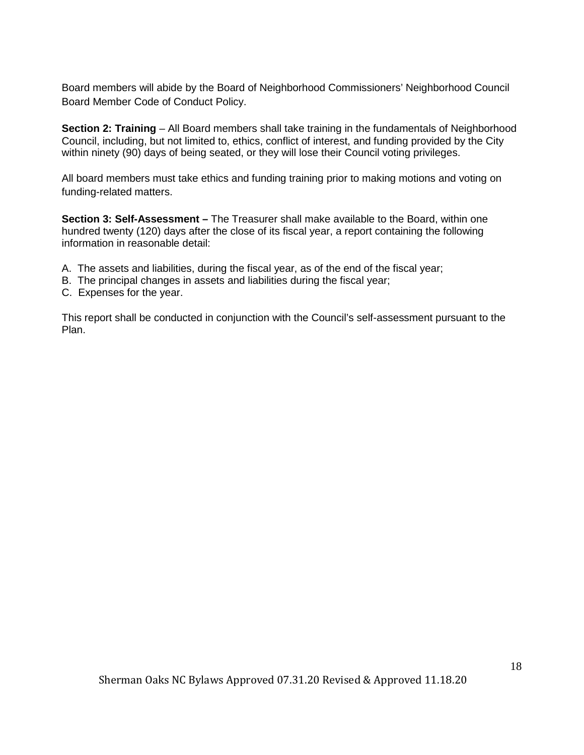Board members will abide by the Board of Neighborhood Commissioners' Neighborhood Council Board Member Code of Conduct Policy.

**Section 2: Training** – All Board members shall take training in the fundamentals of Neighborhood Council, including, but not limited to, ethics, conflict of interest, and funding provided by the City within ninety (90) days of being seated, or they will lose their Council voting privileges.

All board members must take ethics and funding training prior to making motions and voting on funding-related matters.

**Section 3: Self-Assessment –** The Treasurer shall make available to the Board, within one hundred twenty (120) days after the close of its fiscal year, a report containing the following information in reasonable detail:

- A. The assets and liabilities, during the fiscal year, as of the end of the fiscal year;
- B. The principal changes in assets and liabilities during the fiscal year;
- C. Expenses for the year.

This report shall be conducted in conjunction with the Council's self-assessment pursuant to the Plan.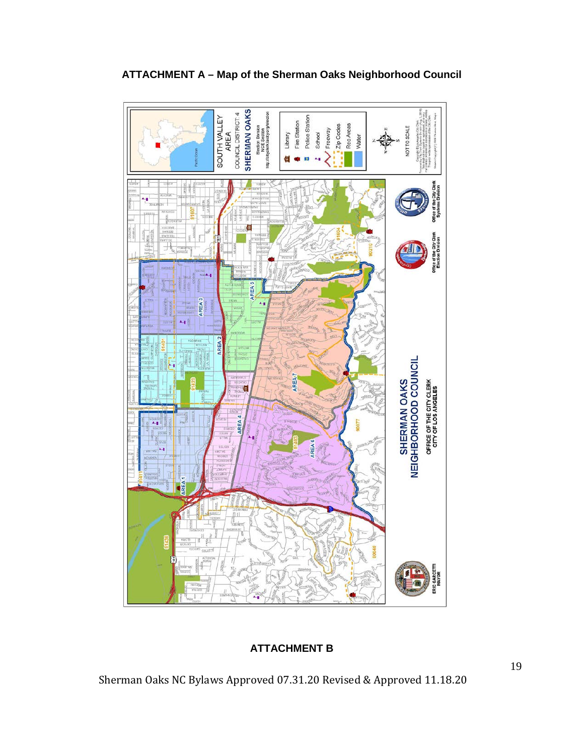

# **ATTACHMENT A – Map of the Sherman Oaks Neighborhood Council**

# **ATTACHMENT B**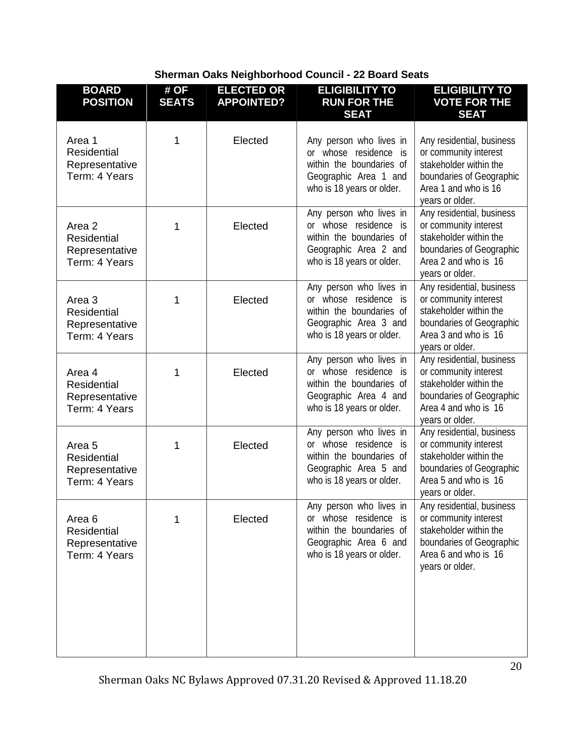| Sherman Oaks Neighborhood Council - 22 Board Seats |  |  |  |  |  |  |  |
|----------------------------------------------------|--|--|--|--|--|--|--|
|----------------------------------------------------|--|--|--|--|--|--|--|

| <b>BOARD</b><br><b>POSITION</b>                                            | # OF<br><b>SEATS</b> | <b>ELECTED OR</b><br><b>APPOINTED?</b> | <b>ELIGIBILITY TO</b><br><b>RUN FOR THE</b><br><b>SEAT</b>                                                                         | <b>ELIGIBILITY TO</b><br><b>VOTE FOR THE</b><br><b>SEAT</b>                                                                                         |
|----------------------------------------------------------------------------|----------------------|----------------------------------------|------------------------------------------------------------------------------------------------------------------------------------|-----------------------------------------------------------------------------------------------------------------------------------------------------|
| Area 1<br><b>Residential</b><br>Representative<br>Term: 4 Years            | 1                    | Elected                                | Any person who lives in<br>or whose residence is<br>within the boundaries of<br>Geographic Area 1 and<br>who is 18 years or older. | Any residential, business<br>or community interest<br>stakeholder within the<br>boundaries of Geographic<br>Area 1 and who is 16<br>years or older. |
| Area 2<br><b>Residential</b><br>Representative<br>Term: 4 Years            | 1                    | Elected                                | Any person who lives in<br>or whose residence is<br>within the boundaries of<br>Geographic Area 2 and<br>who is 18 years or older. | Any residential, business<br>or community interest<br>stakeholder within the<br>boundaries of Geographic<br>Area 2 and who is 16<br>years or older. |
| Area <sub>3</sub><br><b>Residential</b><br>Representative<br>Term: 4 Years | 1                    | Elected                                | Any person who lives in<br>or whose residence is<br>within the boundaries of<br>Geographic Area 3 and<br>who is 18 years or older. | Any residential, business<br>or community interest<br>stakeholder within the<br>boundaries of Geographic<br>Area 3 and who is 16<br>years or older. |
| Area 4<br><b>Residential</b><br>Representative<br>Term: 4 Years            | 1                    | Elected                                | Any person who lives in<br>or whose residence is<br>within the boundaries of<br>Geographic Area 4 and<br>who is 18 years or older. | Any residential, business<br>or community interest<br>stakeholder within the<br>boundaries of Geographic<br>Area 4 and who is 16<br>years or older. |
| Area <sub>5</sub><br><b>Residential</b><br>Representative<br>Term: 4 Years | 1                    | Elected                                | Any person who lives in<br>or whose residence is<br>within the boundaries of<br>Geographic Area 5 and<br>who is 18 years or older. | Any residential, business<br>or community interest<br>stakeholder within the<br>boundaries of Geographic<br>Area 5 and who is 16<br>years or older. |
| Area <sub>6</sub><br><b>Residential</b><br>Representative<br>Term: 4 Years | 1                    | Elected                                | Any person who lives in<br>or whose residence is<br>within the boundaries of<br>Geographic Area 6 and<br>who is 18 years or older. | Any residential, business<br>or community interest<br>stakeholder within the<br>boundaries of Geographic<br>Area 6 and who is 16<br>years or older. |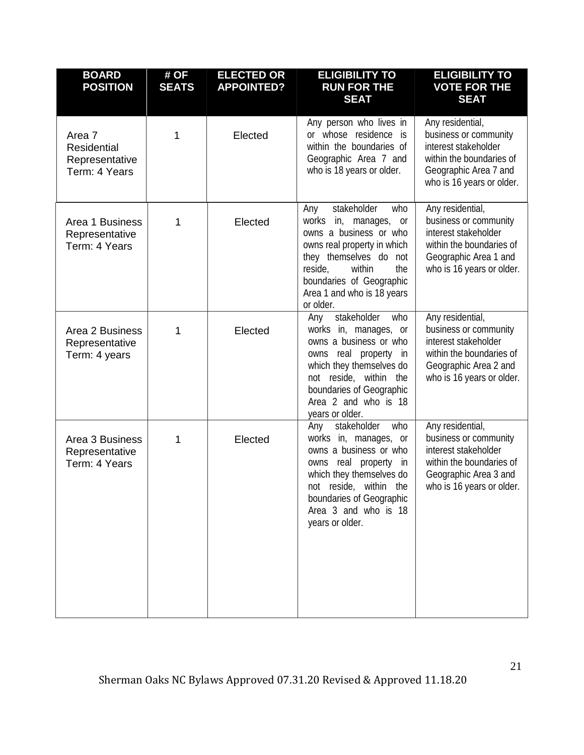| <b>BOARD</b><br><b>POSITION</b>                                 | # OF<br><b>SEATS</b> | <b>ELECTED OR</b><br><b>APPOINTED?</b> | <b>ELIGIBILITY TO</b><br><b>RUN FOR THE</b><br><b>SEAT</b>                                                                                                                                                                               | <b>ELIGIBILITY TO</b><br><b>VOTE FOR THE</b><br><b>SEAT</b>                                                                                         |
|-----------------------------------------------------------------|----------------------|----------------------------------------|------------------------------------------------------------------------------------------------------------------------------------------------------------------------------------------------------------------------------------------|-----------------------------------------------------------------------------------------------------------------------------------------------------|
| Area 7<br><b>Residential</b><br>Representative<br>Term: 4 Years | 1                    | Elected                                | Any person who lives in<br>or whose residence is<br>within the boundaries of<br>Geographic Area 7 and<br>who is 18 years or older.                                                                                                       | Any residential,<br>business or community<br>interest stakeholder<br>within the boundaries of<br>Geographic Area 7 and<br>who is 16 years or older. |
| Area 1 Business<br>Representative<br>Term: 4 Years              | 1                    | Elected                                | stakeholder<br>who<br>Any<br>works in, manages, or<br>owns a business or who<br>owns real property in which<br>they themselves do not<br>reside,<br>within<br>the<br>boundaries of Geographic<br>Area 1 and who is 18 years<br>or older. | Any residential,<br>business or community<br>interest stakeholder<br>within the boundaries of<br>Geographic Area 1 and<br>who is 16 years or older. |
| Area 2 Business<br>Representative<br>Term: 4 years              | 1                    | Elected                                | stakeholder<br>who<br>Any<br>works in, manages, or<br>owns a business or who<br>owns real property<br>in<br>which they themselves do<br>not reside, within the<br>boundaries of Geographic<br>Area 2 and who is 18<br>years or older.    | Any residential,<br>business or community<br>interest stakeholder<br>within the boundaries of<br>Geographic Area 2 and<br>who is 16 years or older. |
| Area 3 Business<br>Representative<br>Term: 4 Years              | 1                    | Elected                                | who<br>stakeholder<br>Any<br>works in, manages, or<br>owns a business or who<br>owns real property in<br>which they themselves do<br>not reside, within the<br>boundaries of Geographic<br>Area 3 and who is 18<br>years or older.       | Any residential,<br>business or community<br>interest stakeholder<br>within the boundaries of<br>Geographic Area 3 and<br>who is 16 years or older. |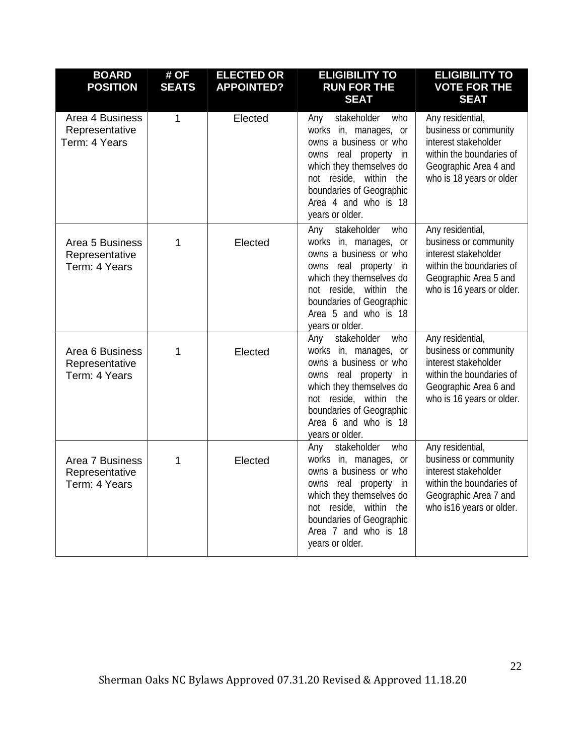| <b>BOARD</b><br><b>POSITION</b>                    | # OF<br><b>SEATS</b> | <b>ELECTED OR</b><br><b>APPOINTED?</b> | <b>ELIGIBILITY TO</b><br><b>RUN FOR THE</b><br><b>SEAT</b>                                                                                                                                                                         | <b>ELIGIBILITY TO</b><br><b>VOTE FOR THE</b><br><b>SEAT</b>                                                                                         |
|----------------------------------------------------|----------------------|----------------------------------------|------------------------------------------------------------------------------------------------------------------------------------------------------------------------------------------------------------------------------------|-----------------------------------------------------------------------------------------------------------------------------------------------------|
| Area 4 Business<br>Representative<br>Term: 4 Years | $\mathbf{1}$         | Elected                                | stakeholder<br>who<br>Any<br>works in, manages, or<br>owns a business or who<br>owns real property in<br>which they themselves do<br>not reside, within the<br>boundaries of Geographic<br>Area 4 and who is 18<br>years or older. | Any residential,<br>business or community<br>interest stakeholder<br>within the boundaries of<br>Geographic Area 4 and<br>who is 18 years or older  |
| Area 5 Business<br>Representative<br>Term: 4 Years | 1                    | Elected                                | who<br>stakeholder<br>Any<br>works in, manages, or<br>owns a business or who<br>owns real property in<br>which they themselves do<br>not reside, within the<br>boundaries of Geographic<br>Area 5 and who is 18<br>years or older. | Any residential,<br>business or community<br>interest stakeholder<br>within the boundaries of<br>Geographic Area 5 and<br>who is 16 years or older. |
| Area 6 Business<br>Representative<br>Term: 4 Years | 1                    | Elected                                | stakeholder<br>who<br>Any<br>works in, manages, or<br>owns a business or who<br>owns real property in<br>which they themselves do<br>not reside, within the<br>boundaries of Geographic<br>Area 6 and who is 18<br>years or older. | Any residential,<br>business or community<br>interest stakeholder<br>within the boundaries of<br>Geographic Area 6 and<br>who is 16 years or older. |
| Area 7 Business<br>Representative<br>Term: 4 Years | 1                    | Elected                                | who<br>stakeholder<br>Any<br>works in, manages, or<br>owns a business or who<br>owns real property in<br>which they themselves do<br>not reside, within the<br>boundaries of Geographic<br>Area 7 and who is 18<br>years or older. | Any residential,<br>business or community<br>interest stakeholder<br>within the boundaries of<br>Geographic Area 7 and<br>who is 16 years or older. |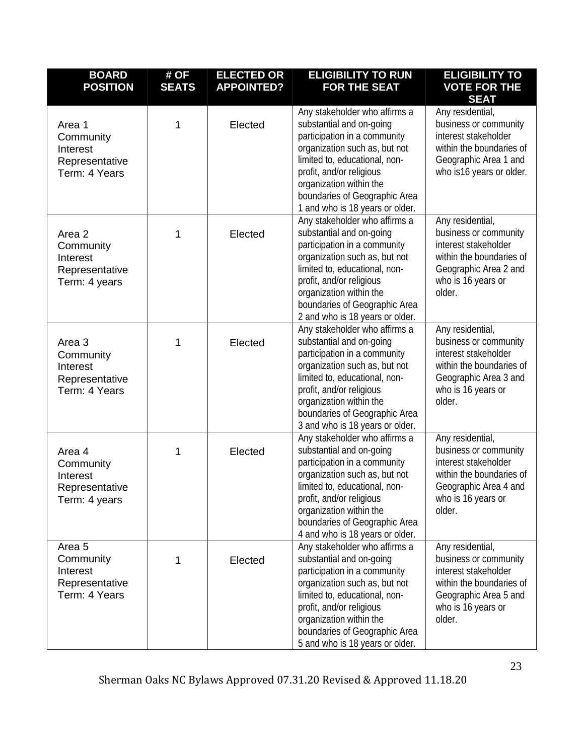| <b>BOARD</b><br><b>POSITION</b>                                               | # OF<br><b>SEATS</b> | <b>ELECTED OR</b><br><b>APPOINTED?</b> | <b>ELIGIBILITY TO RUN</b><br><b>FOR THE SEAT</b>                                                                                                                                                                                                                                       | <b>ELIGIBILITY TO</b><br><b>VOTE FOR THE</b><br><b>SEAT</b>                                                                                            |
|-------------------------------------------------------------------------------|----------------------|----------------------------------------|----------------------------------------------------------------------------------------------------------------------------------------------------------------------------------------------------------------------------------------------------------------------------------------|--------------------------------------------------------------------------------------------------------------------------------------------------------|
| Area 1<br>Community<br>Interest<br>Representative<br>Term: 4 Years            | 1                    | Elected                                | Any stakeholder who affirms a<br>substantial and on-going<br>participation in a community<br>organization such as, but not<br>limited to, educational, non-<br>profit, and/or religious<br>organization within the<br>boundaries of Geographic Area<br>1 and who is 18 years or older. | Any residential,<br>business or community<br>interest stakeholder<br>within the boundaries of<br>Geographic Area 1 and<br>who is 16 years or older.    |
| Area 2<br>Community<br>Interest<br>Representative<br>Term: 4 years            | 1                    | Elected                                | Any stakeholder who affirms a<br>substantial and on-going<br>participation in a community<br>organization such as, but not<br>limited to, educational, non-<br>profit, and/or religious<br>organization within the<br>boundaries of Geographic Area<br>2 and who is 18 years or older. | Any residential,<br>business or community<br>interest stakeholder<br>within the boundaries of<br>Geographic Area 2 and<br>who is 16 years or<br>older. |
| Area 3<br>Community<br>Interest<br>Representative<br>Term: 4 Years            | 1                    | Elected                                | Any stakeholder who affirms a<br>substantial and on-going<br>participation in a community<br>organization such as, but not<br>limited to, educational, non-<br>profit, and/or religious<br>organization within the<br>boundaries of Geographic Area<br>3 and who is 18 years or older. | Any residential,<br>business or community<br>interest stakeholder<br>within the boundaries of<br>Geographic Area 3 and<br>who is 16 years or<br>older. |
| Area 4<br>Community<br>Interest<br>Representative<br>Term: 4 years            | 1                    | Elected                                | Any stakeholder who affirms a<br>substantial and on-going<br>participation in a community<br>organization such as, but not<br>limited to, educational, non-<br>profit, and/or religious<br>organization within the<br>boundaries of Geographic Area<br>4 and who is 18 years or older. | Any residential,<br>business or community<br>interest stakeholder<br>within the boundaries of<br>Geographic Area 4 and<br>who is 16 years or<br>older. |
| Area <sub>5</sub><br>Community<br>Interest<br>Representative<br>Term: 4 Years | 1                    | Elected                                | Any stakeholder who affirms a<br>substantial and on-going<br>participation in a community<br>organization such as, but not<br>limited to, educational, non-<br>profit, and/or religious<br>organization within the<br>boundaries of Geographic Area<br>5 and who is 18 years or older. | Any residential,<br>business or community<br>interest stakeholder<br>within the boundaries of<br>Geographic Area 5 and<br>who is 16 years or<br>older. |